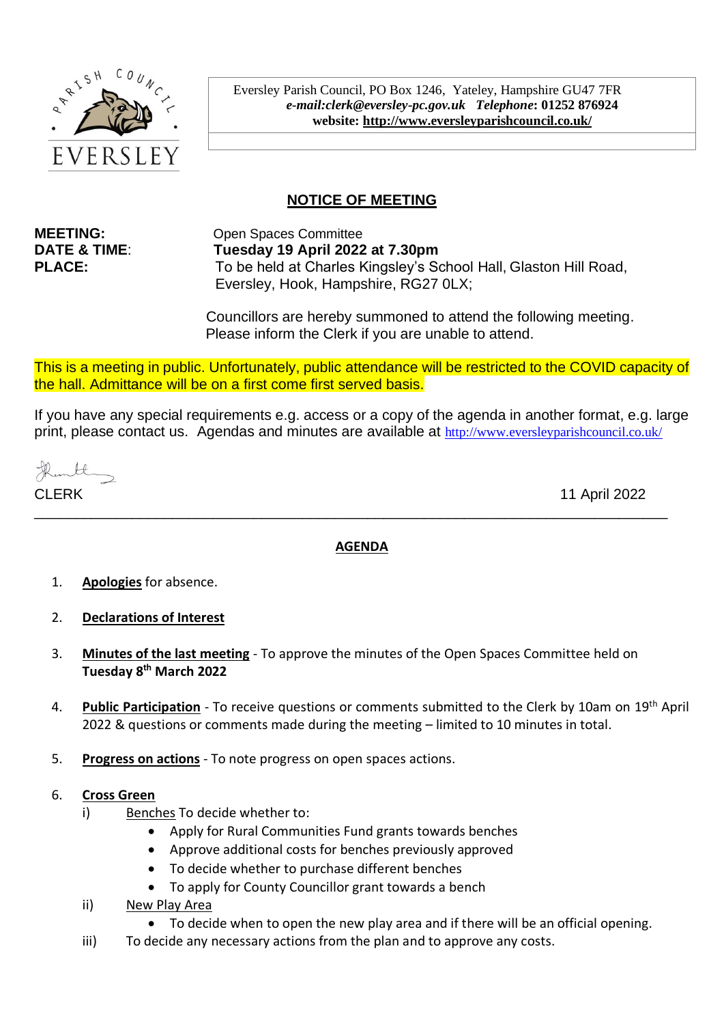

Eversley Parish Council, PO Box 1246, Yateley, Hampshire GU47 7FR *e-mail:clerk@eversley-pc.gov.uk**Telephone***: 01252 876924 website:<http://www.eversleyparishcouncil.co.uk/>**

# **NOTICE OF MEETING**

**MEETING:** Open Spaces Committee **DATE & TIME**: **Tuesday 19 April 2022 at 7.30pm PLACE:** To be held at Charles Kingsley's School Hall, Glaston Hill Road, Eversley, Hook, Hampshire, RG27 0LX;

> Councillors are hereby summoned to attend the following meeting. Please inform the Clerk if you are unable to attend.

This is a meeting in public. Unfortunately, public attendance will be restricted to the COVID capacity of the hall. Admittance will be on a first come first served basis.

If you have any special requirements e.g. access or a copy of the agenda in another format, e.g. large print, please contact us. Agendas and minutes are available at http://www.eversleyparishcouncil.co.uk/

CLERK 11 April 2022

# **AGENDA**

\_\_\_\_\_\_\_\_\_\_\_\_\_\_\_\_\_\_\_\_\_\_\_\_\_\_\_\_\_\_\_\_\_\_\_\_\_\_\_\_\_\_\_\_\_\_\_\_\_\_\_\_\_\_\_\_\_\_\_\_\_\_\_\_\_\_\_\_\_\_\_\_\_\_\_\_\_\_

- 1. **Apologies** for absence.
- 2. **Declarations of Interest**
- 3. **Minutes of the last meeting** To approve the minutes of the Open Spaces Committee held on **Tuesday 8 th March 2022**
- 4. **Public Participation** To receive questions or comments submitted to the Clerk by 10am on 19th April 2022 & questions or comments made during the meeting – limited to 10 minutes in total.
- 5. **Progress on actions** To note progress on open spaces actions.

# 6. **Cross Green**

- i) Benches To decide whether to:
	- Apply for Rural Communities Fund grants towards benches
	- Approve additional costs for benches previously approved
	- To decide whether to purchase different benches
	- To apply for County Councillor grant towards a bench
- ii) New Play Area
	- To decide when to open the new play area and if there will be an official opening.
- iii) To decide any necessary actions from the plan and to approve any costs.